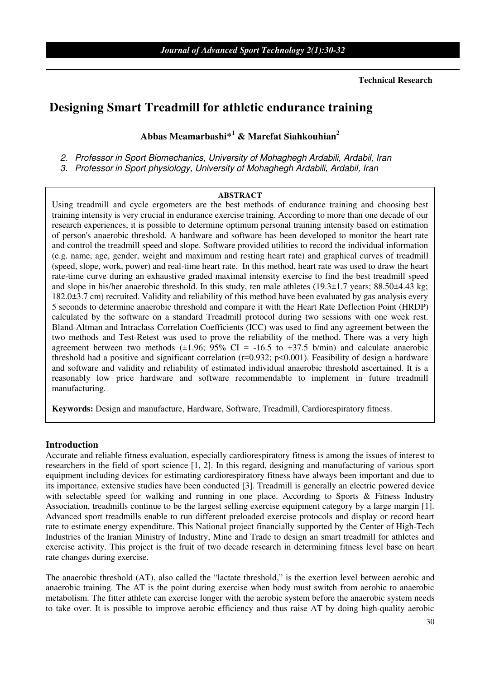**Technical Research** 

# **Designing Smart Treadmill for athletic endurance training**

## **Abbas Meamarbashi\*<sup>1</sup> & Marefat Siahkouhian<sup>2</sup>**

2. Professor in Sport Biomechanics, University of Mohaghegh Ardabili, Ardabil, Iran

3. Professor in Sport physiology, University of Mohaghegh Ardabili, Ardabil, Iran

#### **ABSTRACT**

Using treadmill and cycle ergometers are the best methods of endurance training and choosing best training intensity is very crucial in endurance exercise training. According to more than one decade of our research experiences, it is possible to determine optimum personal training intensity based on estimation of person's anaerobic threshold. A hardware and software has been developed to monitor the heart rate and control the treadmill speed and slope. Software provided utilities to record the individual information (e.g. name, age, gender, weight and maximum and resting heart rate) and graphical curves of treadmill (speed, slope, work, power) and real-time heart rate. In this method, heart rate was used to draw the heart rate-time curve during an exhaustive graded maximal intensity exercise to find the best treadmill speed and slope in his/her anaerobic threshold. In this study, ten male athletes (19.3±1.7 years; 88.50±4.43 kg; 182.0±3.7 cm) recruited. Validity and reliability of this method have been evaluated by gas analysis every 5 seconds to determine anaerobic threshold and compare it with the Heart Rate Deflection Point (HRDP) calculated by the software on a standard Treadmill protocol during two sessions with one week rest. Bland-Altman and Intraclass Correlation Coefficients (ICC) was used to find any agreement between the two methods and Test-Retest was used to prove the reliability of the method. There was a very high agreement between two methods  $(\pm 1.96; 95\% \text{ CI} = -16.5 \text{ to } +37.5 \text{ b/min})$  and calculate anaerobic threshold had a positive and significant correlation  $(r=0.932; p<0.001)$ . Feasibility of design a hardware and software and validity and reliability of estimated individual anaerobic threshold ascertained. It is a reasonably low price hardware and software recommendable to implement in future treadmill manufacturing.

**Keywords:** Design and manufacture, Hardware, Software, Treadmill, Cardiorespiratory fitness.

#### **Introduction**

Accurate and reliable fitness evaluation, especially cardiorespiratory fitness is among the issues of interest to researchers in the field of sport science [1, 2]. In this regard, designing and manufacturing of various sport equipment including devices for estimating cardiorespiratory fitness have always been important and due to its importance, extensive studies have been conducted [3]. Treadmill is generally an electric powered device with selectable speed for walking and running in one place. According to Sports & Fitness Industry Association, treadmills continue to be the largest selling exercise equipment category by a large margin [1]. Advanced sport treadmills enable to run different preloaded exercise protocols and display or record heart rate to estimate energy expenditure. This National project financially supported by the Center of High-Tech Industries of the Iranian Ministry of Industry, Mine and Trade to design an smart treadmill for athletes and exercise activity. This project is the fruit of two decade research in determining fitness level base on heart rate changes during exercise.

The anaerobic threshold (AT), also called the "lactate threshold," is the exertion level between aerobic and anaerobic training. The AT is the point during exercise when body must switch from aerobic to anaerobic metabolism. The fitter athlete can exercise longer with the aerobic system before the anaerobic system needs to take over. It is possible to improve aerobic efficiency and thus raise AT by doing high-quality aerobic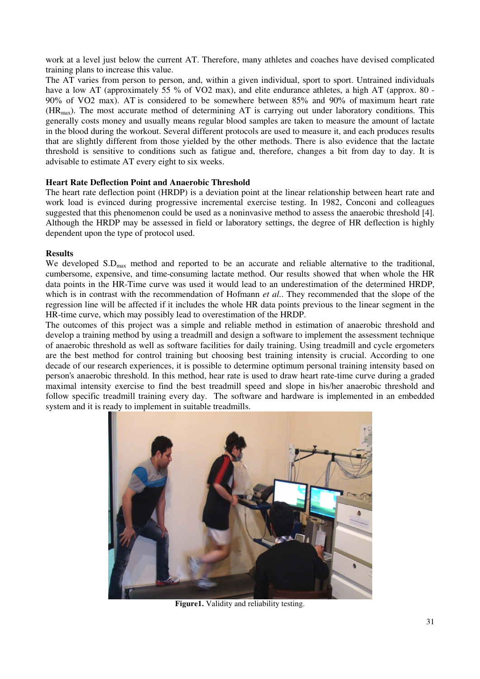work at a level just below the current AT. Therefore, many athletes and coaches have devised complicated training plans to increase this value.

The AT varies from person to person, and, within a given individual, sport to sport. Untrained individuals have a low AT (approximately 55 % of VO2 max), and elite endurance athletes, a high AT (approx. 80 -90% of VO2 max). AT is considered to be somewhere between 85% and 90% of maximum heart rate (HRmax). The most accurate method of determining AT is carrying out under laboratory conditions. This generally costs money and usually means regular blood samples are taken to measure the amount of lactate in the blood during the workout. Several different protocols are used to measure it, and each produces results that are slightly different from those yielded by the other methods. There is also evidence that the lactate threshold is sensitive to conditions such as fatigue and, therefore, changes a bit from day to day. It is advisable to estimate AT every eight to six weeks.

### **Heart Rate Deflection Point and Anaerobic Threshold**

The heart rate deflection point (HRDP) is a deviation point at the linear relationship between heart rate and work load is evinced during progressive incremental exercise testing. In 1982, Conconi and colleagues suggested that this phenomenon could be used as a noninvasive method to assess the anaerobic threshold [4]. Although the HRDP may be assessed in field or laboratory settings, the degree of HR deflection is highly dependent upon the type of protocol used.

#### **Results**

We developed  $S.D<sub>max</sub>$  method and reported to be an accurate and reliable alternative to the traditional, cumbersome, expensive, and time-consuming lactate method. Our results showed that when whole the HR data points in the HR-Time curve was used it would lead to an underestimation of the determined HRDP, which is in contrast with the recommendation of Hofmann *et al.*. They recommended that the slope of the regression line will be affected if it includes the whole HR data points previous to the linear segment in the HR-time curve, which may possibly lead to overestimation of the HRDP.

The outcomes of this project was a simple and reliable method in estimation of anaerobic threshold and develop a training method by using a treadmill and design a software to implement the assessment technique of anaerobic threshold as well as software facilities for daily training. Using treadmill and cycle ergometers are the best method for control training but choosing best training intensity is crucial. According to one decade of our research experiences, it is possible to determine optimum personal training intensity based on person's anaerobic threshold. In this method, hear rate is used to draw heart rate-time curve during a graded maximal intensity exercise to find the best treadmill speed and slope in his/her anaerobic threshold and follow specific treadmill training every day. The software and hardware is implemented in an embedded system and it is ready to implement in suitable treadmills.



**Figure1.** Validity and reliability testing.